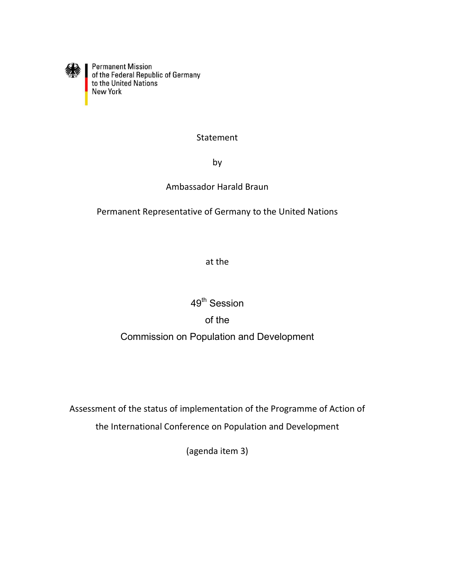

Permanent Mission<br>of the Federal Republic of Germany<br>to the United Nations<br>New York

### Statement

by

### Ambassador Harald Braun

Permanent Representative of Germany to the United Nations

at the

49<sup>th</sup> Session

# of the

## Commission on Population and Development

Assessment of the status of implementation of the Programme of Action of

the International Conference on Population and Development

(agenda item 3)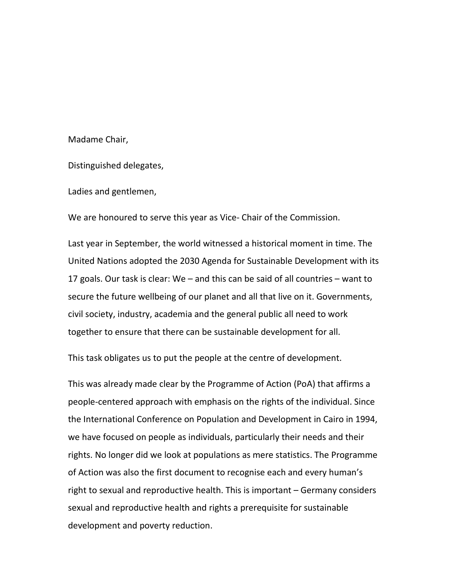#### Madame Chair,

Distinguished delegates,

Ladies and gentlemen,

We are honoured to serve this year as Vice- Chair of the Commission.

Last year in September, the world witnessed a historical moment in time. The United Nations adopted the 2030 Agenda for Sustainable Development with its 17 goals. Our task is clear: We – and this can be said of all countries – want to secure the future wellbeing of our planet and all that live on it. Governments, civil society, industry, academia and the general public all need to work together to ensure that there can be sustainable development for all.

This task obligates us to put the people at the centre of development.

This was already made clear by the Programme of Action (PoA) that affirms a people-centered approach with emphasis on the rights of the individual. Since the International Conference on Population and Development in Cairo in 1994, we have focused on people as individuals, particularly their needs and their rights. No longer did we look at populations as mere statistics. The Programme of Action was also the first document to recognise each and every human's right to sexual and reproductive health. This is important – Germany considers sexual and reproductive health and rights a prerequisite for sustainable development and poverty reduction.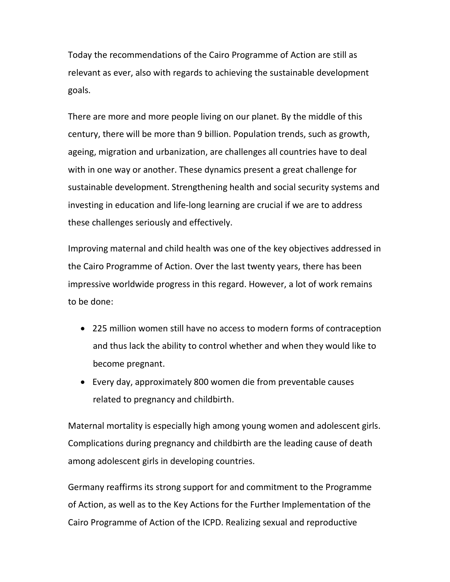Today the recommendations of the Cairo Programme of Action are still as relevant as ever, also with regards to achieving the sustainable development goals.

There are more and more people living on our planet. By the middle of this century, there will be more than 9 billion. Population trends, such as growth, ageing, migration and urbanization, are challenges all countries have to deal with in one way or another. These dynamics present a great challenge for sustainable development. Strengthening health and social security systems and investing in education and life-long learning are crucial if we are to address these challenges seriously and effectively.

Improving maternal and child health was one of the key objectives addressed in the Cairo Programme of Action. Over the last twenty years, there has been impressive worldwide progress in this regard. However, a lot of work remains to be done:

- 225 million women still have no access to modern forms of contraception and thus lack the ability to control whether and when they would like to become pregnant.
- Every day, approximately 800 women die from preventable causes related to pregnancy and childbirth.

Maternal mortality is especially high among young women and adolescent girls. Complications during pregnancy and childbirth are the leading cause of death among adolescent girls in developing countries.

Germany reaffirms its strong support for and commitment to the Programme of Action, as well as to the Key Actions for the Further Implementation of the Cairo Programme of Action of the ICPD. Realizing sexual and reproductive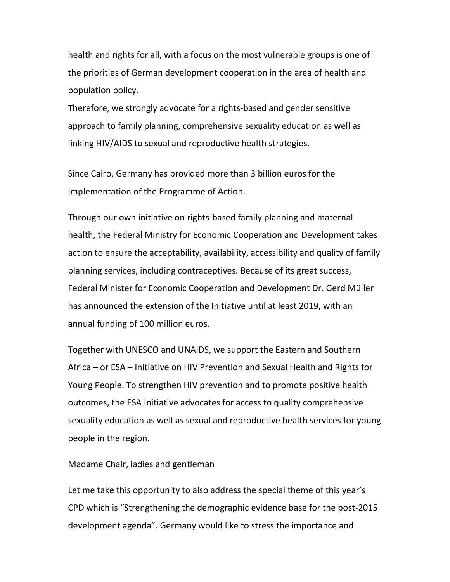health and rights for all, with a focus on the most vulnerable groups is one of the priorities of German development cooperation in the area of health and population policy.

Therefore, we strongly advocate for a rights-based and gender sensitive approach to family planning, comprehensive sexuality education as well as linking HIV/AIDS to sexual and reproductive health strategies.

Since Cairo, Germany has provided more than 3 billion euros for the implementation of the Programme of Action.

Through our own initiative on rights-based family planning and maternal health, the Federal Ministry for Economic Cooperation and Development takes action to ensure the acceptability, availability, accessibility and quality of family planning services, including contraceptives. Because of its great success, Federal Minister for Economic Cooperation and Development Dr. Gerd Müller has announced the extension of the Initiative until at least 2019, with an annual funding of 100 million euros.

Together with UNESCO and UNAIDS, we support the Eastern and Southern Africa – or ESA – Initiative on HIV Prevention and Sexual Health and Rights for Young People. To strengthen HIV prevention and to promote positive health outcomes, the ESA Initiative advocates for access to quality comprehensive sexuality education as well as sexual and reproductive health services for young people in the region.

#### Madame Chair, ladies and gentleman

Let me take this opportunity to also address the special theme of this year's CPD which is "Strengthening the demographic evidence base for the post-2015 development agenda". Germany would like to stress the importance and